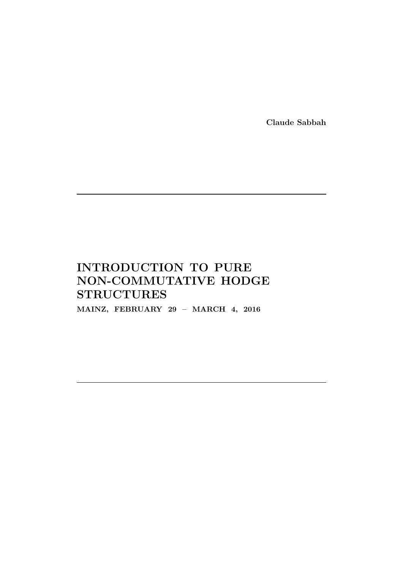Claude Sabbah

# INTRODUCTION TO PURE NON-COMMUTATIVE HODGE **STRUCTURES**

MAINZ, FEBRUARY 29 – MARCH 4, 2016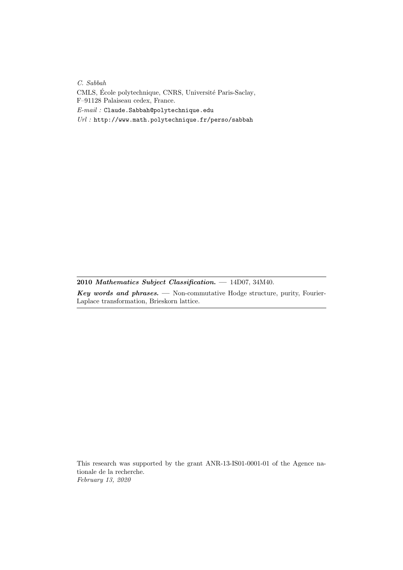C. Sabbah

CMLS, École polytechnique, CNRS, Université Paris-Saclay, F–91128 Palaiseau cedex, France.

 $E\text{-}mail:$  Claude. Sabbah@polytechnique. edu

Url : http://www.math.polytechnique.fr/perso/sabbah

2010 Mathematics Subject Classification. - 14D07, 34M40.

Key words and phrases.  $-$  Non-commutative Hodge structure, purity, Fourier-Laplace transformation, Brieskorn lattice.

This research was supported by the grant ANR-13-IS01-0001-01 of the Agence nationale de la recherche. February 13, 2020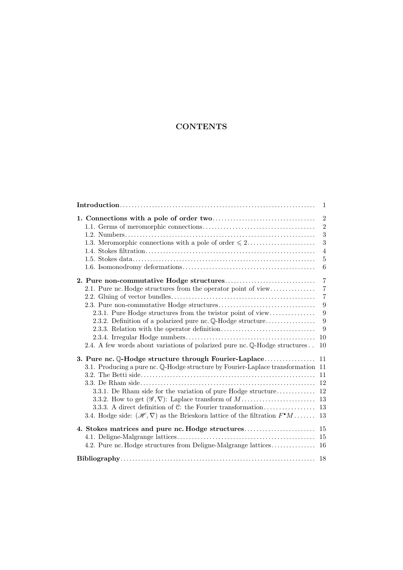# **CONTENTS**

|                                                                                                                            | 1                                |
|----------------------------------------------------------------------------------------------------------------------------|----------------------------------|
|                                                                                                                            | $\overline{2}$<br>$\overline{2}$ |
|                                                                                                                            | 3                                |
| 1.3. Meromorphic connections with a pole of order $\leq 2$                                                                 | 3<br>$\overline{4}$              |
|                                                                                                                            | $\overline{5}$<br>6              |
|                                                                                                                            | $\overline{7}$                   |
| 2.1. Pure nc. Hodge structures from the operator point of view                                                             | $\overline{7}$<br>$\overline{7}$ |
|                                                                                                                            | 9                                |
| 2.3.1. Pure Hodge structures from the twistor point of view<br>2.3.2. Definition of a polarized pure nc. Q-Hodge structure | 9<br>9                           |
|                                                                                                                            | 9<br>10                          |
| 2.4. A few words about variations of polarized pure nc. Q-Hodge structures                                                 | 10                               |
| 3. Pure nc. Q-Hodge structure through Fourier-Laplace                                                                      | 11                               |
| 3.1. Producing a pure nc. Q-Hodge structure by Fourier-Laplace transformation                                              | 11                               |
|                                                                                                                            | 11                               |
|                                                                                                                            | 12                               |
| 3.3.1. De Rham side for the variation of pure Hodge structure                                                              | 12<br>13                         |
| 3.3.3. A direct definition of $C$ : the Fourier transformation                                                             | 13                               |
| 3.4. Hodge side: $(\mathscr{H}, \nabla)$ as the Brieskorn lattice of the filtration $F^{\bullet}M$                         | 13                               |
| 4. Stokes matrices and pure nc. Hodge structures                                                                           | 15                               |
| 4.2. Pure nc. Hodge structures from Deligne-Malgrange lattices                                                             | 15<br>16                         |
|                                                                                                                            |                                  |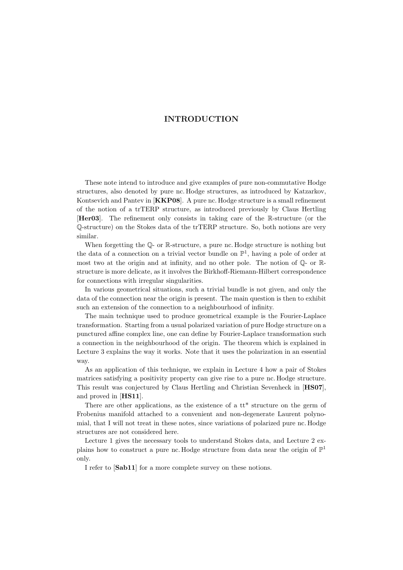# <span id="page-3-0"></span>INTRODUCTION

These note intend to introduce and give examples of pure non-commutative Hodge structures, also denoted by pure nc. Hodge structures, as introduced by Katzarkov, Kontsevich and Pantev in [**[KKP08](#page-20-1)**]. A pure nc. Hodge structure is a small refinement of the notion of a trTERP structure, as introduced previously by Claus Hertling [[Her03](#page-20-2)]. The refinement only consists in taking care of the R-structure (or the Q-structure) on the Stokes data of the trTERP structure. So, both notions are very similar.

When forgetting the  $\mathbb{Q}$ - or R-structure, a pure nc. Hodge structure is nothing but the data of a connection on a trivial vector bundle on  $\mathbb{P}^1$ , having a pole of order at most two at the origin and at infinity, and no other pole. The notion of Q- or Rstructure is more delicate, as it involves the Birkhoff-Riemann-Hilbert correspondence for connections with irregular singularities.

In various geometrical situations, such a trivial bundle is not given, and only the data of the connection near the origin is present. The main question is then to exhibit such an extension of the connection to a neighbourhood of infinity.

The main technique used to produce geometrical example is the Fourier-Laplace transformation. Starting from a usual polarized variation of pure Hodge structure on a punctured affine complex line, one can define by Fourier-Laplace transformation such a connection in the neighbourhood of the origin. The theorem which is explained in Lecture [3](#page-13-0) explains the way it works. Note that it uses the polarization in an essential way.

As an application of this technique, we explain in Lecture [4](#page-17-0) how a pair of Stokes matrices satisfying a positivity property can give rise to a pure nc. Hodge structure. This result was conjectured by Claus Hertling and Christian Sevenheck in [[HS07](#page-20-3)], and proved in [[HS11](#page-20-4)].

There are other applications, as the existence of a tt\* structure on the germ of Frobenius manifold attached to a convenient and non-degenerate Laurent polynomial, that I will not treat in these notes, since variations of polarized pure nc. Hodge structures are not considered here.

Lecture [1](#page-4-0) gives the necessary tools to understand Stokes data, and Lecture [2](#page-9-0) explains how to construct a pure nc. Hodge structure from data near the origin of  $\mathbb{P}^1$ only.

I refer to [[Sab11](#page-20-5)] for a more complete survey on these notions.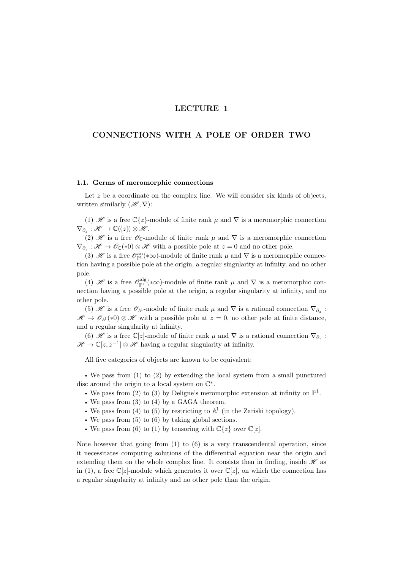# LECTURE 1

# <span id="page-4-0"></span>CONNECTIONS WITH A POLE OF ORDER TWO

## <span id="page-4-1"></span>1.1. Germs of meromorphic connections

Let  $z$  be a coordinate on the complex line. We will consider six kinds of objects, written similarly  $(\mathscr{H}, \nabla)$ :

<span id="page-4-2"></span>(1)  $\mathscr H$  is a free  $\mathbb C\{z\}$ -module of finite rank  $\mu$  and  $\nabla$  is a meromorphic connection  $\nabla_{\partial_z} : \mathscr{H} \to \mathbb{C}(\{z\}) \otimes \mathscr{H}.$ 

<span id="page-4-3"></span>(2) H is a free  $\mathscr{O}_{\mathbb{C}}$ -module of finite rank  $\mu$  and  $\nabla$  is a meromorphic connection  $\nabla_{\partial_z} : \mathscr{H} \to \mathscr{O}_{\mathbb{C}}(*0) \otimes \mathscr{H}$  with a possible pole at  $z = 0$  and no other pole.

<span id="page-4-4"></span>(3)  $\mathscr{H}$  is a free  $\mathscr{O}_{\mathbb{P}^1}^{an}(*\infty)$ -module of finite rank  $\mu$  and  $\nabla$  is a meromorphic connection having a possible pole at the origin, a regular singularity at infinity, and no other pole.

<span id="page-4-5"></span>(4) H is a free  $\mathcal{O}_{\mathbb{P}^1}^{\text{alg}}(*\infty)$ -module of finite rank  $\mu$  and  $\nabla$  is a meromorphic connection having a possible pole at the origin, a regular singularity at infinity, and no other pole.

<span id="page-4-6"></span>(5)  $\mathscr H$  is a free  $\mathscr O_{\mathbb A^1}$ -module of finite rank  $\mu$  and  $\nabla$  is a rational connection  $\nabla_{\partial_z}$ :  $\mathscr{H} \to \mathscr{O}_{\mathbb{A}^1}(*0) \otimes \mathscr{H}$  with a possible pole at  $z = 0$ , no other pole at finite distance, and a regular singularity at infinity.

<span id="page-4-7"></span>(6)  $\mathscr H$  is a free  $\mathbb C[z]$ -module of finite rank  $\mu$  and  $\nabla$  is a rational connection  $\nabla_{\partial_z}$ :  $\mathscr{H} \to \mathbb{C}[z, z^{-1}] \otimes \mathscr{H}$  having a regular singularity at infinity.

All five categories of objects are known to be equivalent:

• We pass from [\(1\)](#page-4-2) to [\(2\)](#page-4-3) by extending the local system from a small punctured disc around the origin to a local system on  $\mathbb{C}^*$ .

- We pass from [\(2\)](#page-4-3) to [\(3\)](#page-4-4) by Deligne's meromorphic extension at infinity on  $\mathbb{P}^1$ .
- We pass from [\(3\)](#page-4-4) to [\(4\)](#page-4-5) by a GAGA theorem.
- We pass from [\(4\)](#page-4-5) to [\(5\)](#page-4-6) by restricting to  $\mathbb{A}^1$  (in the Zariski topology).
- We pass from [\(5\)](#page-4-6) to [\(6\)](#page-4-7) by taking global sections.
- We pass from [\(6\)](#page-4-7) to [\(1\)](#page-4-2) by tensoring with  $\mathbb{C}{z}$  over  $\mathbb{C}{z}$ .

Note however that going from  $(1)$  to  $(6)$  is a very transcendental operation, since it necessitates computing solutions of the differential equation near the origin and extending them on the whole complex line. It consists then in finding, inside  $\mathscr H$  as in [\(1\)](#page-4-2), a free  $\mathbb{C}[z]$ -module which generates it over  $\mathbb{C}[z]$ , on which the connection has a regular singularity at infinity and no other pole than the origin.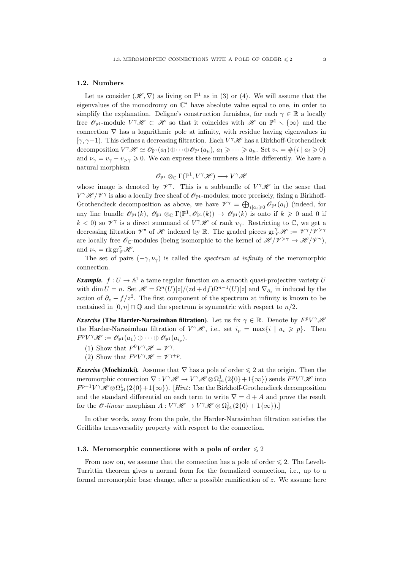#### <span id="page-5-0"></span>1.2. Numbers

Let us consider  $(\mathscr{H}, \nabla)$  as living on  $\mathbb{P}^1$  as in [\(3\)](#page-4-4) or [\(4\)](#page-4-5). We will assume that the eigenvalues of the monodromy on  $\mathbb{C}^*$  have absolute value equal to one, in order to simplify the explanation. Deligne's construction furnishes, for each  $\gamma \in \mathbb{R}$  a locally free  $\mathscr{O}_{\mathbb{P}^1}$ -module  $V^{\gamma} \mathscr{H} \subset \mathscr{H}$  so that it coincides with  $\mathscr{H}$  on  $\mathbb{P}^1 \setminus {\infty}$  and the connection ∇ has a logarithmic pole at infinity, with residue having eigenvalues in [ $\gamma$ ,  $\gamma$ +1]. This defines a decreasing filtration. Each  $V^{\gamma}$   $\mathscr{H}$  has a Birkhoff-Grothendieck decomposition  $V^{\gamma} \mathscr{H} \simeq \mathscr{O}_{\mathbb{P}^1}(a_1) \oplus \cdots \oplus \mathscr{O}_{\mathbb{P}^1}(a_{\mu}), \, a_1 \geqslant \cdots \geqslant a_{\mu}.$  Set  $v_{\gamma} = \#\{i \mid a_i \geqslant 0\}$ and  $\nu_{\gamma} = v_{\gamma} - v_{\gamma} \geqslant 0$ . We can express these numbers a little differently. We have a natural morphism

$$
\mathscr{O}_{\mathbb{P}^1} \otimes_{\mathbb{C}} \Gamma(\mathbb{P}^1, V^{\gamma} \mathscr{H}) \longrightarrow V^{\gamma} \mathscr{H}
$$

whose image is denoted by  $\mathscr{V}^{\gamma}$ . This is a subbundle of  $V^{\gamma} \mathscr{H}$  in the sense that  $V^{\gamma}\mathscr{H}/\mathscr{V}^{\gamma}$  is also a locally free sheaf of  $\mathscr{O}_{\mathbb{P}^1}$ -modules; more precisely, fixing a Birkhoff-Grothendieck decomposition as above, we have  $\mathcal{V}^{\gamma} = \bigoplus_{i|a_i\geqslant 0} \mathscr{O}_{\mathbb{P}^1}(a_i)$  (indeed, for any line bundle  $\mathscr{O}_{\mathbb{P}^1}(k)$ ,  $\mathscr{O}_{\mathbb{P}^1} \otimes_{\mathbb{C}} \Gamma(\mathbb{P}^1, \mathscr{O}_{\mathbb{P}^1}(k)) \to \mathscr{O}_{\mathbb{P}^1}(k)$  is onto if  $k \geqslant 0$  and 0 if  $k<0$ ) so  $\mathscr{V}^{\gamma}$  is a direct summand of  $V^{\gamma}$  *H* of rank  $v_{\gamma}$ . Restricting to  $\mathbb{C}$ , we get a decreasing filtration  $\mathscr V^\bullet$  of  $\mathscr H$  indexed by  $\mathbb R$ . The graded pieces  $gr^{\gamma}_{\mathscr V}\mathscr H:=\mathscr V^{\gamma}/\mathscr V^{>\gamma}$ are locally free  $\mathscr{O}_{\mathbb{C}}$ -modules (being isomorphic to the kernel of  $\mathscr{H}/\mathscr{V}^{\geq \gamma} \to \mathscr{H}/\mathscr{V}^{\gamma}$ ), and  $\nu_{\gamma} = \text{rk } \text{gr}^{\gamma}_{\mathscr{V}} \mathscr{H}.$ 

The set of pairs  $(-\gamma, \nu_{\gamma})$  is called the *spectrum at infinity* of the meromorphic connection.

**Example.**  $f: U \to \mathbb{A}^1$  a tame regular function on a smooth quasi-projective variety U with dim  $U = n$ . Set  $\mathcal{H} = \Omega^n(U)[z]/(z \mathrm{d} + \mathrm{d} f)\Omega^{n-1}(U)[z]$  and  $\nabla_{\partial_z}$  in induced by the action of  $\partial_z - f/z^2$ . The first component of the spectrum at infinity is known to be contained in  $[0, n] \cap \mathbb{Q}$  and the spectrum is symmetric with respect to  $n/2$ .

*Exercise* (The Harder-Narasimhan filtration). Let us fix  $\gamma \in \mathbb{R}$ . Denote by  $F^pV^{\gamma}$   $\mathcal H$ the Harder-Narasimhan filtration of  $V^{\gamma} \mathscr{H}$ , i.e., set  $i_p = \max\{i \mid a_i \geq p\}$ . Then  $F^pV^\gamma \mathscr{H} := \mathscr{O}_{\mathbb{P}^1}(a_1) \oplus \cdots \oplus \mathscr{O}_{\mathbb{P}^1}(a_{i_p}).$ 

- (1) Show that  $F^0V^{\gamma} \mathscr{H} = \mathscr{V}^{\gamma}$ .
- (2) Show that  $F^pV^{\gamma} \mathscr{H} = \mathscr{V}^{\gamma+p}$ .

*Exercise* (Mochizuki). Assume that  $\nabla$  has a pole of order  $\leq 2$  at the origin. Then the meromorphic connection  $\nabla: V^{\gamma} \mathscr{H} \to V^{\gamma} \mathscr{H} \otimes \Omega_{\mathbb{P}^1}^1(2\{0\} + 1\{\infty\})$  sends  $F^p V^{\gamma} \mathscr{H}$  into  $F^{p-1}V^{\gamma} \mathscr{H} \otimes \Omega_{\mathbb{P}^1}^1(2\{0\}+1\{\infty\})$ . [*Hint*: Use the Birkhoff-Grothendieck decomposition and the standard differential on each term to write  $\nabla = d + A$  and prove the result for the  $\mathscr O$ -linear morphism  $A: V^{\gamma} \mathscr H \to V^{\gamma} \mathscr H \otimes \Omega_{\mathbb P^1}^1(2{0}+1{\{\infty\}}).]$ 

In other words, away from the pole, the Harder-Narasimhan filtration satisfies the Griffiths transversality property with respect to the connection.

#### <span id="page-5-1"></span>1.3. Meromorphic connections with a pole of order  $\leq 2$

From now on, we assume that the connection has a pole of order  $\leq 2$ . The Levelt-Turrittin theorem gives a normal form for the formalized connection, i.e., up to a formal meromorphic base change, after a possible ramification of z. We assume here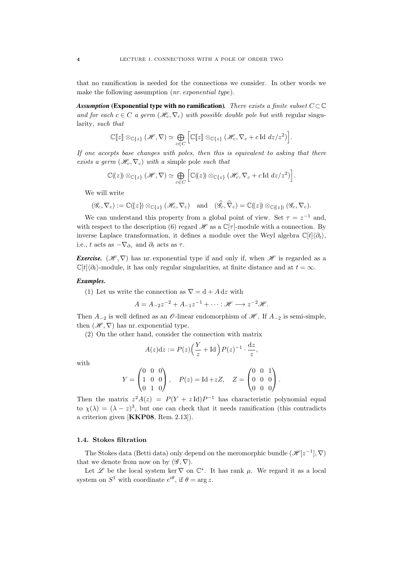that no ramification is needed for the connections we consider. In other words we make the following assumption (*nr. exponential type*).

*Assumption* (Exponential type with no ramification). There exists a finite subset  $C \subset \mathbb{C}$ and for each  $c \in C$  a germ  $(\mathcal{H}_c, \nabla_c)$  with possible double pole but with regular singularity, such that

$$
\mathbb{C}[\![z]\!]\otimes_{\mathbb{C}\{z\}}(\mathscr{H},\nabla)\simeq \bigoplus_{c\in C}\Big[\mathbb{C}[\![z]\!] \otimes_{\mathbb{C}\{z\}}(\mathscr{H}_c,\nabla_c+c\operatorname{Id}dz/z^2)\Big].
$$

If one accepts base changes with poles, then this is equivalent to asking that there exists a germ  $(\mathcal{H}_c, \nabla_c)$  with a simple pole such that

$$
\mathbb{C}(\!(z)\!)\otimes_{\mathbb{C}\{z\}}(\mathscr{H},\nabla)\simeq \bigoplus_{c\in C}\Big[\mathbb{C}(\!(z)\!)\otimes_{\mathbb{C}\{z\}}(\mathscr{H}_c,\nabla_c+c\operatorname{Id}dz/z^2)\Big].
$$

We will write

$$
(\mathscr{G}_c, \nabla_c) := \mathbb{C}(\{z\}) \otimes_{\mathbb{C}\{z\}} (\mathscr{H}_c, \nabla_c) \quad \text{and} \quad (\widehat{\mathscr{G}}_c, \widehat{\nabla}_c) = \mathbb{C}(\{z\}) \otimes_{\mathbb{C}\{\{z\}\}} (\mathscr{G}_c, \nabla_c).
$$

We can understand this property from a global point of view. Set  $\tau = z^{-1}$  and, with respect to the description [\(6\)](#page-4-7) regard  $\mathscr H$  as a  $\mathbb C[\tau]$ -module with a connection. By inverse Laplace transformation, it defines a module over the Weyl algebra  $\mathbb{C}[t]\langle\partial_t\rangle$ , i.e., t acts as  $-\nabla_{\partial_{\tau}}$  and  $\partial_t$  acts as  $\tau$ .

*Exercise.* ( $\mathscr{H}, \nabla$ ) has nr. exponential type if and only if, when  $\mathscr{H}$  is regarded as a  $\mathbb{C}[t]\langle\partial_t\rangle$ -module, it has only regular singularities, at finite distance and at  $t = \infty$ .

#### *Examples.*

(1) Let us write the connection as  $\nabla = d + A dz$  with

$$
A = A_{-2}z^{-2} + A_{-1}z^{-1} + \cdots : \mathscr{H} \longrightarrow z^{-2}\mathscr{H}.
$$

Then  $A_{-2}$  is well defined as an  $\mathcal O$ -linear endomorphism of  $\mathcal H$ . If  $A_{-2}$  is semi-simple, then  $(\mathscr{H}, \nabla)$  has nr. exponential type.

(2) On the other hand, consider the connection with matrix

$$
A(z)dz := P(z)\left(\frac{Y}{z} + \text{Id}\right)P(z)^{-1} \cdot \frac{dz}{z},
$$

with

$$
Y = \begin{pmatrix} 0 & 0 & 0 \\ 1 & 0 & 0 \\ 0 & 1 & 0 \end{pmatrix}, \quad P(z) = \text{Id} + zZ, \quad Z = \begin{pmatrix} 0 & 0 & 1 \\ 0 & 0 & 0 \\ 0 & 0 & 0 \end{pmatrix}.
$$

Then the matrix  $z^2 A(z) = P(Y + z \text{Id})P^{-1}$  has characteristic polynomial equal to  $\chi(\lambda) = (\lambda - z)^3$ , but one can check that it needs ramification (this contradicts a criterion given [[KKP08](#page-20-1), Rem. 2.13]).

#### <span id="page-6-0"></span>1.4. Stokes filtration

The Stokes data (Betti data) only depend on the meromorphic bundle  $(\mathscr{H}[z^{-1}], \nabla)$ that we denote from now on by  $(\mathscr{G}, \nabla)$ .

Let  $\mathscr L$  be the local system ker  $\nabla$  on  $\mathbb C^*$ . It has rank  $\mu$ . We regard it as a local system on  $S^1$  with coordinate  $e^{i\theta}$ , if  $\theta = \arg z$ .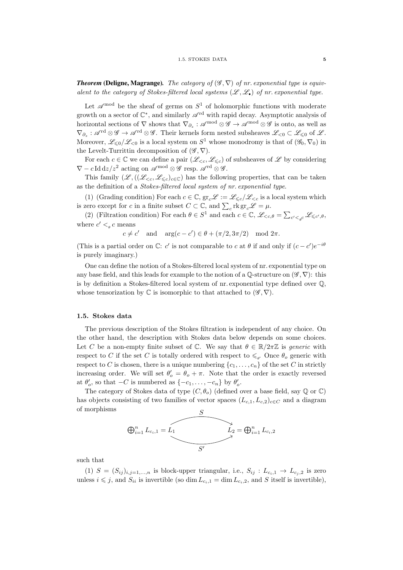**Theorem** (Deligne, Magrange). The category of  $(\mathscr{G}, \nabla)$  of nr. exponential type is equivalent to the category of Stokes-filtered local systems  $(\mathscr{L}, \mathscr{L}_{\bullet})$  of nr. exponential type.

Let  $\mathscr{A}^{\text{mod}}$  be the sheaf of germs on  $S^1$  of holomorphic functions with moderate growth on a sector of  $\mathbb{C}^*$ , and similarly  $\mathscr{A}^{\text{rd}}$  with rapid decay. Asymptotic analysis of horizontal sections of  $\nabla$  shows that  $\nabla_{\partial_z} : \mathscr{A}^{\text{mod}} \otimes \mathscr{G} \to \mathscr{A}^{\text{mod}} \otimes \mathscr{G}$  is onto, as well as  $\nabla_{\partial_z} : \mathscr{A}^{\text{rd}} \otimes \mathscr{G} \to \mathscr{A}^{\text{rd}} \otimes \mathscr{G}$ . Their kernels form nested subsheaves  $\mathscr{L}_{\leq 0} \subset \mathscr{L}_{\leq 0}$  of  $\mathscr{L}$ . Moreover,  $\mathscr{L}_{\leq 0}/\mathscr{L}_{\leq 0}$  is a local system on  $S^1$  whose monodromy is that of  $(\mathscr{G}_0, \nabla_0)$  in the Levelt-Turrittin decomposition of  $(\mathscr{G}, \nabla)$ .

For each  $c \in \mathbb{C}$  we can define a pair  $(\mathscr{L}_{\leq c}, \mathscr{L}_{\leq c})$  of subsheaves of  $\mathscr{L}$  by considering  $\nabla - c \, \text{Id} \, \text{d}z / z^2$  acting on  $\mathscr{A}^{\text{mod}} \otimes \mathscr{G}$  resp.  $\mathscr{A}^{\text{rd}} \otimes \mathscr{G}$ .

This family  $(\mathscr{L},((\mathscr{L}_{< c},\mathscr{L}_{< c})_{c \in \mathbb{C}})$  has the following properties, that can be taken as the definition of a Stokes-filtered local system of nr. exponential type.

(1) (Grading condition) For each  $c \in \mathbb{C}$ ,  $\mathrm{gr}_c\mathscr{L} := \mathscr{L}_{\leq c}/\mathscr{L}_{\leq c}$  is a local system which is zero except for c in a finite subset  $C \subset \mathbb{C}$ , and  $\sum_{c} \text{rk } \text{gr}_{c} \mathscr{L} = \mu$ .

(2) (Filtration condition) For each  $\theta \in S^1$  and each  $c \in \mathbb{C}$ ,  $\mathscr{L}_{\leq c,\theta} = \sum_{c' <_{\theta} c} \mathscr{L}_{\leq c',\theta}$ , where  $c' <_{\theta} c$  means

 $c \neq c'$  and  $arg(c - c') \in \theta + (\pi/2, 3\pi/2) \mod 2\pi$ .

(This is a partial order on  $\mathbb{C}$ : c' is not comparable to c at  $\theta$  if and only if  $(c - c')e^{-i\theta}$ is purely imaginary.)

One can define the notion of a Stokes-filtered local system of nr. exponential type on any base field, and this leads for example to the notion of a  $\mathbb Q$ -structure on  $(\mathscr G, \nabla)$ : this is by definition a Stokes-filtered local system of nr. exponential type defined over Q, whose tensorization by  $\mathbb C$  is isomorphic to that attached to  $(\mathscr G, \nabla)$ .

#### <span id="page-7-0"></span>1.5. Stokes data

The previous description of the Stokes filtration is independent of any choice. On the other hand, the description with Stokes data below depends on some choices. Let C be a non-empty finite subset of C. We say that  $\theta \in \mathbb{R}/2\pi\mathbb{Z}$  is generic with respect to C if the set C is totally ordered with respect to  $\leq_{\theta}$ . Once  $\theta_o$  generic with respect to C is chosen, there is a unique numbering  $\{c_1, \ldots, c_n\}$  of the set C in strictly increasing order. We will set  $\theta'_{o} = \theta_{o} + \pi$ . Note that the order is exactly reversed at  $\theta_o'$ , so that  $-C$  is numbered as  $\{-c_1, \ldots, -c_n\}$  by  $\theta_o'$ .

The category of Stokes data of type  $(C, \theta_o)$  (defined over a base field, say Q or C) has objects consisting of two families of vector spaces  $(L_{c,1}, L_{c,2})_{c \in C}$  and a diagram of morphisms



such that

(1)  $S = (S_{ij})_{i,j=1,\dots,n}$  is block-upper triangular, i.e.,  $S_{ij}: L_{c_i,1} \rightarrow L_{c_i,2}$  is zero unless  $i \leq j$ , and  $S_{ii}$  is invertible (so dim  $L_{c_i,1} = \dim L_{c_i,2}$ , and S itself is invertible),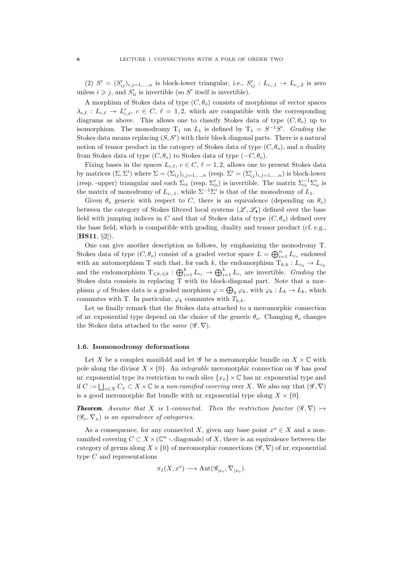(2)  $S' = (S'_{ij})_{i,j=1,\dots,n}$  is block-lower triangular, i.e.,  $S'_{ij} : L_{c_i,1} \to L_{c_j,2}$  is zero unless  $i \geq j$ , and  $S'_{ii}$  is invertible (so S' itself is invertible).

A morphism of Stokes data of type  $(C, \theta_o)$  consists of morphisms of vector spaces  $\lambda_{c,\ell} : L_{c,\ell} \to L'_{c,\ell}, c \in C, \ell = 1, 2$ , which are compatible with the corresponding diagrams as above. This allows one to classify Stokes data of type  $(C, \theta_o)$  up to isomorphism. The monodromy  $T_1$  on  $L_1$  is defined by  $T_1 = S^{-1}S'$ . Grading the Stokes data means replacing  $(S, S')$  with their block diagonal parts. There is a natural notion of tensor product in the category of Stokes data of type  $(C, \theta_o)$ , and a duality from Stokes data of type  $(C, \theta_o)$  to Stokes data of type  $(-C, \theta_o)$ .

Fixing bases in the spaces  $L_{c,\ell}$ ,  $c \in C$ ,  $\ell = 1, 2$ , allows one to present Stokes data by matrices  $(\Sigma, \Sigma')$  where  $\Sigma = (\Sigma_{ij})_{i,j=1,...,n}$  (resp.  $\Sigma' = (\Sigma'_{ij})_{i,j=1,...,n}$ ) is block-lower (resp. -upper) triangular and each  $\Sigma_{ii}$  (resp.  $\Sigma'_{ii}$ ) is invertible. The matrix  $\Sigma_{ii}^{-1}\Sigma'_{ii}$  is the matrix of monodromy of  $L_{c_i,1}$ , while  $\Sigma^{-1}\Sigma'$  is that of the monodromy of  $L_1$ .

Given  $\theta_o$  generic with respect to C, there is an equivalence (depending on  $\theta_o$ ) between the category of Stokes filtered local systems  $(\mathscr{L}, \mathscr{L}_{\bullet})$  defined over the base field with jumping indices in C and that of Stokes data of type  $(C, \theta_o)$  defined over the base field, which is compatible with grading, duality and tensor product (cf. e.g., [**[HS11](#page-20-4)**, §2]).

One can give another description as follows, by emphasizing the monodromy T. Stokes data of type  $(C, \theta_o)$  consist of a graded vector space  $L = \bigoplus_{i=1}^n L_{c_i}$  endowed with an automorphism T such that, for each k, the endomorphism  $T_{k,k}: L_{c_k} \to L_{c_k}$ and the endomorphism  $T_{\leq k,\leq k} : \bigoplus_{i=1}^k L_{c_i} \to \bigoplus_{i=1}^k L_{c_i}$  are invertible. *Grading* the Stokes data consists in replacing T with its block-diagonal part. Note that a morphism  $\varphi$  of Stokes data is a graded morphism  $\varphi = \bigoplus_k \varphi_k$ , with  $\varphi_k : L_k \to L_k$ , which commutes with T. In particular,  $\varphi_k$  commutes with  $T_{k,k}$ .

Let us finally remark that the Stokes data attached to a meromorphic connection of nr. exponential type depend on the choice of the generic  $\theta_o$ . Changing  $\theta_o$  changes the Stokes data attached to the *same*  $(\mathscr{G}, \nabla)$ .

#### <span id="page-8-0"></span>1.6. Isomonodromy deformations

Let X be a complex manifold and let  $\mathscr G$  be a meromorphic bundle on  $X \times \mathbb C$  with pole along the divisor  $X \times \{0\}$ . An *integrable* meromorphic connection on  $\mathscr G$  has good nr. exponential type its restriction to each slice  $\{x_o\} \times \mathbb{C}$  has nr. exponential type and if  $C := \bigsqcup_{x \in X} C_x \subset X \times \mathbb{C}$  is a non-ramified covering over X. We also say that  $(\mathscr{G}, \nabla)$ is a good meromorphic flat bundle with nr. exponential type along  $X \times \{0\}$ .

**Theorem.** Assume that X is 1-connected. Then the restriction functor  $(\mathscr{G}, \nabla) \mapsto$  $(\mathscr{G}_x, \nabla_x)$  is an equivalence of categories.

As a consequence, for any connected X, given any base point  $x^o \in X$  and a nonramified covering  $C \subset X \times (\mathbb{C}^n \setminus \text{diagonals})$  of X, there is an equivalence between the category of germs along  $X \times \{0\}$  of meromorphic connections ( $\mathscr{G}, \nabla$ ) of nr. exponential type C and representations

$$
\pi_1(X, x^o) \longrightarrow \operatorname{Aut}(\mathscr{G}_{|x_o}, \nabla_{|x_o}).
$$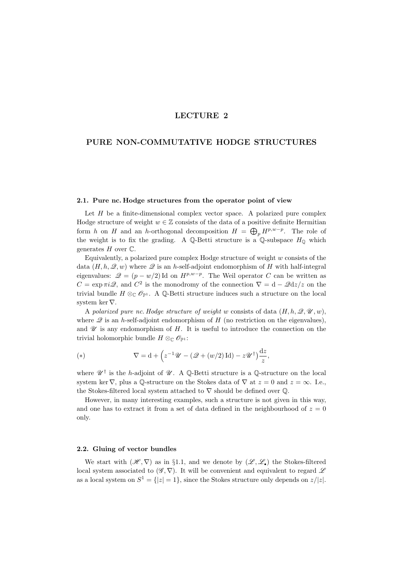# LECTURE 2

# <span id="page-9-0"></span>PURE NON-COMMUTATIVE HODGE STRUCTURES

#### <span id="page-9-1"></span>2.1. Pure nc. Hodge structures from the operator point of view

Let  $H$  be a finite-dimensional complex vector space. A polarized pure complex Hodge structure of weight  $w \in \mathbb{Z}$  consists of the data of a positive definite Hermitian form h on H and an h-orthogonal decomposition  $H = \bigoplus_{p} H^{p,w-p}$ . The role of the weight is to fix the grading. A Q-Betti structure is a Q-subspace  $H_0$  which generates  $H$  over  $\mathbb{C}$ .

Equivalently, a polarized pure complex Hodge structure of weight  $w$  consists of the data  $(H, h, \mathcal{Q}, w)$  where  $\mathcal Q$  is an h-self-adjoint endomorphism of H with half-integral eigenvalues:  $\mathcal{Q} = (p - w/2)$ Id on  $H^{p,w-p}$ . The Weil operator C can be written as  $C = \exp \pi i \mathcal{Q}$ , and  $C^2$  is the monodromy of the connection  $\nabla = d - \mathcal{Q} dz/z$  on the trivial bundle  $H \otimes_{\mathbb{C}} \mathcal{O}_{\mathbb{P}^1}$ . A  $\mathbb{Q}\text{-Betti structure induces such a structure on the local$ system ker ∇.

A polarized pure nc. Hodge structure of weight w consists of data  $(H, h, \mathcal{Q}, \mathcal{U}, w)$ , where  $\mathscr Q$  is an h-self-adjoint endomorphism of H (no restriction on the eigenvalues), and  $\mathscr U$  is any endomorphism of  $H$ . It is useful to introduce the connection on the trivial holomorphic bundle  $H \otimes_{\mathbb{C}} \mathscr{O}_{\mathbb{P}^1}$ :

(\*) 
$$
\nabla = d + \left( z^{-1} \mathscr{U} - (\mathscr{Q} + (w/2) \operatorname{Id}) - z \mathscr{U}^{\dagger} \right) \frac{\mathrm{d}z}{z},
$$

where  $\mathscr{U}^{\dagger}$  is the *h*-adjoint of  $\mathscr{U}$ . A Q-Betti structure is a Q-structure on the local system ker  $\nabla$ , plus a  $\mathbb{O}$ -structure on the Stokes data of  $\nabla$  at  $z = 0$  and  $z = \infty$ . I.e., the Stokes-filtered local system attached to  $\nabla$  should be defined over  $\mathbb Q$ .

However, in many interesting examples, such a structure is not given in this way, and one has to extract it from a set of data defined in the neighbourhood of  $z = 0$ only.

#### <span id="page-9-2"></span>2.2. Gluing of vector bundles

We start with  $(\mathscr{H}, \nabla)$  as in §[1.1,](#page-4-1) and we denote by  $(\mathscr{L}, \mathscr{L})$  the Stokes-filtered local system associated to  $(\mathscr{G}, \nabla)$ . It will be convenient and equivalent to regard  $\mathscr{L}$ as a local system on  $S^1 = \{ |z| = 1 \}$ , since the Stokes structure only depends on  $z/|z|$ .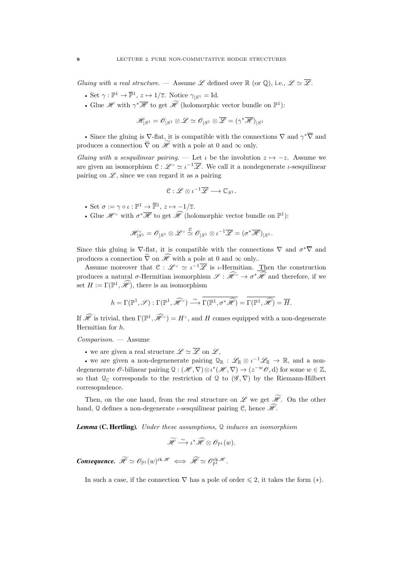Gluing with a real structure. — Assume L defined over  $\mathbb R$  (or  $\mathbb Q$ ), i.e.,  $\mathscr L \simeq \overline{\mathscr L}$ .

- Set  $\gamma : \mathbb{P}^1 \to \overline{\mathbb{P}}^1$ ,  $z \mapsto 1/\overline{z}$ . Notice  $\gamma_{|S^1} = \text{Id}$ .
- Glue  $\mathscr{H}$  with  $\gamma^*\overline{\mathscr{H}}$  to get  $\widetilde{\mathscr{H}}$  (holomorphic vector bundle on  $\mathbb{P}^1$ ):

$$
\mathscr{H}_{|S^1}=\mathscr{O}_{|S^1}\otimes \mathscr{L}\simeq \mathscr{O}_{|S^1}\otimes \overline{\mathscr{L}}=(\gamma^*\overline{\mathscr{H}})_{|S^1}
$$

• Since the gluing is  $\nabla$ -flat, it is compatible with the connections  $\nabla$  and  $\gamma^*\nabla$  and produces a connection  $\tilde{\nabla}$  on  $\widetilde{\mathscr{H}}$  with a pole at 0 and  $\infty$  only.

Gluing with a sesquilinear pairing. — Let  $\iota$  be the involution  $z \mapsto -z$ . Assume we are given an isomorphism  $\mathfrak{C}: \mathscr{L}^{\vee} \simeq \iota^{-1} \overline{\mathscr{L}}$ . We call it a nondegenerate  $\iota$ -sesquilinear pairing on  $\mathscr{L}$ , since we can regard it as a pairing

$$
\mathfrak{C}: \mathscr{L} \otimes \iota^{-1} \overline{\mathscr{L}} \longrightarrow \mathbb{C}_{S^1}.
$$

- Set  $\sigma := \gamma \circ \iota : \mathbb{P}^1 \to \overline{\mathbb{P}}^1$ ,  $z \mapsto -1/\overline{z}$ .
- Glue  $\mathscr{H}^{\vee}$  with  $\sigma^*\overline{\mathscr{H}}$  to get  $\widehat{\mathscr{H}}$  (holomorphic vector bundle on  $\mathbb{P}^1$ ):

$$
\mathscr{H}_{|S^1}^{\vee}=\mathscr{O}_{|S^1}\otimes \mathscr{L}^{\vee}\stackrel{\mathcal{C}}{\simeq}\mathscr{O}_{|S^1}\otimes \iota^{-1}\overline{\mathscr{L}}=(\sigma^*\overline{\mathscr{H}})|_{S^1}.
$$

Since this gluing is  $\nabla$ -flat, it is compatible with the connections  $\nabla$  and  $\sigma^*\overline{\nabla}$  and produces a connection  $\tilde{\nabla}$  on  $\mathscr{H}$  with a pole at 0 and  $\infty$  only..

Assume moreover that  $\mathfrak{C}: \mathscr{L}^{\vee} \simeq \iota^{-1} \overline{\mathscr{L}}$  is  $\iota$ -Hermitian. Then the construction produces a natural  $\sigma$ -Hermitian isomorphism  $\mathscr{S}: \mathscr{H}^{\vee} \to \sigma^* \mathscr{H}$  and therefore, if we set  $H := \Gamma(\mathbb{P}^1, \mathcal{H})$ , there is an isomorphism

$$
h = \Gamma(\mathbb{P}^1, \mathscr{S}) : \Gamma(\mathbb{P}^1, \widehat{\mathscr{H}}^{\vee}) \xrightarrow{\sim} \overline{\Gamma(\mathbb{P}^1, \sigma^* \widehat{\mathscr{H}})} = \overline{\Gamma(\mathbb{P}^1, \widehat{\mathscr{H}})} = \overline{H}.
$$

If  $\hat{\mathscr{H}}$  is trivial, then  $\Gamma(\mathbb{P}^1, \hat{\mathscr{H}}) = H^{\vee}$ , and H comes equipped with a non-degenerate Hermitian for h.

Comparison. — Assume

• we are given a real structure  $\mathscr{L} \simeq \overline{\mathscr{L}}$  on  $\mathscr{L}$ ,

• we are given a non-degenenerate pairing  $\mathcal{Q}_{\mathbb{R}}: \mathscr{L}_{\mathbb{R}} \otimes \iota^{-1} \mathscr{L}_{\mathbb{R}} \to \mathbb{R}$ , and a nondegenenerate  $\mathscr O$ -bilinear pairing  $\mathfrak Q: (\mathscr H, \nabla) \otimes \iota^*(\mathscr H, \nabla) \to (z^{-w} \mathscr O, d)$  for some  $w \in \mathbb Z$ , so that  $\mathcal{Q}_{\mathbb{C}}$  corresponds to the restriction of  $\mathcal{Q}$  to  $(\mathscr{G}, \nabla)$  by the Riemann-Hilbert corresopndence.

Then, on the one hand, from the real structure on  $\mathscr L$  we get  $\widetilde{\mathscr H}$ . On the other hand, Q defines a non-degenerate *ι*-sesquilinear pairing C, hence  $\mathcal{H}$ .

*Lemma* (C. Hertling)*.* Under these assumptions, Q induces an isomorphism

$$
\widetilde{\mathscr{H}} \stackrel{\sim}{\longrightarrow} \iota^* \widehat{\mathscr{H}} \otimes \mathscr{O}_{\mathbb{P}^1}(w).
$$

**Consequence.**  $\mathscr{H} \simeq \mathscr{O}_{\mathbb{P}^1}(w)^{\text{rk } \mathscr{H}} \iff \mathscr{\widetilde{H}} \simeq \mathscr{O}_{\mathbb{P}^1}^{\text{rk } \mathscr{H}}.$ 

In such a case, if the connection  $\nabla$  has a pole of order  $\leq 2$ , it takes the form  $(*)$ .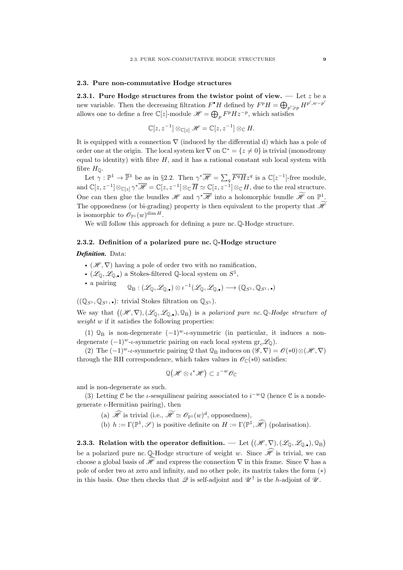#### <span id="page-11-0"></span>2.3. Pure non-commutative Hodge structures

<span id="page-11-1"></span>2.3.1. Pure Hodge structures from the twistor point of view.  $\frac{1}{x}$  Let z be a new variable. Then the decreasing filtration  $F^{\bullet}H$  defined by  $F^pH = \bigoplus_{p' \geq p} H^{p',w-p'}$ allows one to define a free  $\mathbb{C}[z]$ -module  $\mathscr{H} = \bigoplus_p F^p H z^{-p}$ , which satisfies

$$
\mathbb{C}[z, z^{-1}] \otimes_{\mathbb{C}[z]} \mathscr{H} = \mathbb{C}[z, z^{-1}] \otimes_{\mathbb{C}} H.
$$

It is equipped with a connection  $\nabla$  (induced by the differential d) which has a pole of order one at the origin. The local system ker  $\nabla$  on  $\mathbb{C}^* = \{z \neq 0\}$  is trivial (monodromy equal to identity) with fibre  $H$ , and it has a rational constant sub local system with fibre  $H_{\mathbb{Q}}$ .

Let  $\gamma : \mathbb{P}^1 \to \overline{\mathbb{P}}^1$  be as in §[2.2.](#page-9-2) Then  $\gamma^* \overline{\mathscr{H}} = \sum_q \overline{F^q H} z^q$  is a  $\mathbb{C}[z^{-1}]$ -free module, and  $\mathbb{C}[z, z^{-1}] \otimes_{\mathbb{C}[z]} \gamma^* \overline{\mathscr{H}} = \mathbb{C}[z, z^{-1}] \otimes_{\mathbb{C}} \overline{H} \simeq \mathbb{C}[z, z^{-1}] \otimes_{\mathbb{C}} H$ , due to the real structure. One can then glue the bundles  $\mathscr H$  and  $\gamma^*\overline{\mathscr H}$  into a holomorphic bundle  $\widetilde{\mathscr H}$  on  $\mathbb P^1$ . The opposedness (or bi-grading) property is then equivalent to the property that  $\widetilde{\mathscr{H}}$ is isomorphic to  $\mathscr{O}_{\mathbb{P}^1}(w)^{\dim H}.$ 

We will follow this approach for defining a pure nc.  $\mathbb{Q}\text{-Hodge structure}$ .

#### <span id="page-11-2"></span>2.3.2. Definition of a polarized pure nc. Q-Hodge structure

#### *Definition.* Data:

- $(\mathscr{H}, \nabla)$  having a pole of order two with no ramification,
- $(\mathscr{L}_{\mathbb{Q}}, \mathscr{L}_{\mathbb{Q},\bullet})$  a Stokes-filtered  $\mathbb{Q}$ -local system on  $S^1$ ,

• a pairing 
$$
Q_{\text{B}}: (\mathscr{L}_{\mathbb{Q}}, \mathscr{L}_{\mathbb{Q},\bullet}) \otimes \iota^{-1}(\mathscr{L}_{\mathbb{Q}}, \mathscr{L}_{\mathbb{Q},\bullet}) \longrightarrow (\mathbb{Q}_{S^1}, \mathbb{Q}_{S^1}, \bullet)
$$

 $((\mathbb{Q}_{S^1}, \mathbb{Q}_{S^1}, \bullet)$ : trivial Stokes filtration on  $\mathbb{Q}_{S^1}$ ).

We say that  $((\mathscr{H}, \nabla), (\mathscr{L}_{\mathbb{Q}}, \mathscr{L}_{\mathbb{Q},\bullet}), \mathbb{Q}_{\mathrm{B}})$  is a polarized pure nc. Q-Hodge structure of weight  $w$  if it satisfies the following properties:

(1)  $\mathcal{Q}_B$  is non-degenerate  $(-1)^w$ -*t*-symmetric (in particular, it induces a nondegenerate  $(-1)^{w}$ -*ι*-symmetric pairing on each local system gr<sub>c</sub>L<sub>Q</sub>).

(2) The  $(-1)^{w}$ -*t*-symmetric pairing Q that Q<sub>B</sub> induces on  $(\mathscr{G}, \nabla) = \mathscr{O}(*0) \otimes (\mathscr{H}, \nabla)$ through the RH correspondence, which takes values in  $\mathcal{O}_{\mathbb{C}}(*0)$  satisfies:

$$
\mathfrak{Q}\big(\mathscr{H}\otimes\iota^*\mathscr{H}\big)\subset z^{-w}\mathscr{O}_\mathbb{C}
$$

and is non-degenerate as such.

(3) Letting C be the *t*-sesquilinear pairing associated to  $i^{-w}Q$  (hence C is a nondegenerate  $\iota$ -Hermitian pairing), then

- (a)  $\mathscr{H}$  is trivial (i.e.,  $\mathscr{H} \simeq \mathscr{O}_{\mathbb{P}^1}(w)^d$ , opposedness),
- (b)  $h := \Gamma(\mathbb{P}^1, \mathscr{S})$  is positive definite on  $H := \Gamma(\mathbb{P}^1, \widehat{\mathscr{H}})$  (polarisation).

<span id="page-11-3"></span>2.3.3. Relation with the operator definition. — Let  $((\mathscr{H},\nabla),(\mathscr{L}_\mathbb{Q},\mathscr{L}_{\mathbb{Q},\bullet}),\mathbb{Q}_\mathrm{B})$ be a polarized pure nc. Q-Hodge structure of weight w. Since  $\mathscr{\hat{H}}$  is trivial, we can choose a global basis of  $\mathscr{H}$  and express the connection  $\nabla$  in this frame. Since  $\nabla$  has a pole of order two at zero and infinity, and no other pole, its matrix takes the form (∗) in this basis. One then checks that  $\mathscr Q$  is self-adjoint and  $\mathscr U^{\dagger}$  is the h-adjoint of  $\mathscr U$ .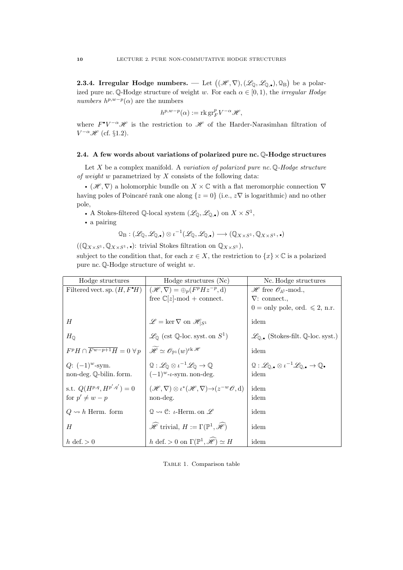<span id="page-12-0"></span>2.3.4. Irregular Hodge numbers. — Let  $\big((\mathscr{H},\nabla),(\mathscr{L}_\mathbb{Q},\mathscr{L}_{\mathbb{Q},\bullet}),\mathbb{Q}_\mathrm{B}\big)$  be a polarized pure nc. Q-Hodge structure of weight w. For each  $\alpha \in [0,1)$ , the *irregular Hodge numbers*  $h^{p,w-p}(\alpha)$  are the numbers

$$
h^{p,w-p}(\alpha) := \operatorname{rk} \operatorname{gr}_F^p V^{-\alpha} \mathscr{H},
$$

where  $F^{\bullet}V^{-\alpha}$  is the restriction to H of the Harder-Narasimhan filtration of  $V^{-\alpha}$   $\mathscr{H}$  (cf. §[1.2\)](#page-5-0).

## <span id="page-12-1"></span>2.4. A few words about variations of polarized pure nc. Q-Hodge structures

Let  $X$  be a complex manifold. A variation of polarized pure nc.  $\mathbb Q$ -Hodge structure of weight w parametrized by  $X$  consists of the following data:

•  $(\mathscr{H}, \nabla)$  a holomorphic bundle on  $X \times \mathbb{C}$  with a flat meromorphic connection  $\nabla$ having poles of Poincaré rank one along  $\{z = 0\}$  (i.e.,  $z\nabla$  is logarithmic) and no other pole,

• A Stokes-filtered Q-local system  $(\mathscr{L}_\mathbb{Q}, \mathscr{L}_{\mathbb{Q},\bullet})$  on  $X \times S^1$ ,

• a pairing

$$
\mathcal{Q}_{\mathrm{B}}: (\mathscr{L}_\mathbb{Q}, \mathscr{L}_{\mathbb{Q},\bullet}) \otimes \iota^{-1}(\mathscr{L}_\mathbb{Q}, \mathscr{L}_{\mathbb{Q},\bullet}) \longrightarrow (\mathbb{Q}_{X \times S^1}, \mathbb{Q}_{X \times S^1},\bullet)
$$

 $((\mathbb{Q}_{X\times S^1}, \mathbb{Q}_{X\times S^1}, \bullet)$ : trivial Stokes filtration on  $\mathbb{Q}_{X\times S^1}$ ,

subject to the condition that, for each  $x \in X$ , the restriction to  $\{x\} \times \mathbb{C}$  is a polarized pure nc. Q-Hodge structure of weight w.

| Hodge structures                                  | Hodge structures (Nc)                                                                            | Nc. Hodge structures                                                                                                      |
|---------------------------------------------------|--------------------------------------------------------------------------------------------------|---------------------------------------------------------------------------------------------------------------------------|
| Filtered vect. sp. $(H, F^{\bullet}H)$            | $(\mathscr{H}, \nabla) = \bigoplus_p (F^p H z^{-p}, d)$                                          | $\mathscr{H}$ free $\mathscr{O}_{\mathbb{A}^1}$ -mod.,                                                                    |
|                                                   | free $\mathbb{C}[z]$ -mod + connect.                                                             | $\nabla$ : connect.                                                                                                       |
|                                                   |                                                                                                  | $0 = \text{only pole}, \text{ord.} \leqslant 2, \text{ n.r.}$                                                             |
| H                                                 | $\mathscr{L} = \ker \nabla$ on $\mathscr{H}_{ S^1}$                                              | idem                                                                                                                      |
| $H_{\mathbb{O}}$                                  | $\mathscr{L}_{\mathbb{Q}}$ (cst Q-loc. syst. on $S^1$ )                                          | $\mathscr{L}_{\mathbb{Q}_\bullet}$ (Stokes-filt. Q-loc. syst.)                                                            |
| $F^pH \cap \overline{F^{w-p+1}H} = 0 \,\forall p$ | $\widetilde{\mathscr{H}} \simeq \mathscr{O}_{\mathbb{P}^1}(w)^{\text{rk } \mathscr{H}}$          | idem                                                                                                                      |
| $Q: (-1)^{w}$ -sym.                               | $\mathcal{Q}: \mathscr{L}_\Omega \otimes \iota^{-1} \mathscr{L}_\Omega \to \mathbb{Q}$           | $\mathcal{Q}: \mathscr{L}_{\mathbb{Q},\bullet} \otimes \iota^{-1} \mathscr{L}_{\mathbb{Q},\bullet} \to \mathbb{Q}\bullet$ |
| non-deg. Q-bilin. form.                           | $(-1)^{w}$ - <i>t</i> -sym. non-deg.                                                             | idem                                                                                                                      |
| s.t. $Q(H^{p,q}, H^{p',q'}) = 0$                  | $(\mathscr{H}, \nabla) \otimes \iota^*(\mathscr{H}, \nabla) \rightarrow (z^{-w} \mathscr{O}, d)$ | idem                                                                                                                      |
| for $p' \neq w - p$                               | non-deg.                                                                                         | idem                                                                                                                      |
| $Q \rightsquigarrow h$ Herm. form                 | $\mathcal{Q} \rightsquigarrow \mathcal{C}$ : <i>t</i> -Herm. on $\mathscr{L}$                    | idem                                                                                                                      |
| H                                                 | $\mathscr{H}$ trivial, $H := \Gamma(\mathbb{P}^1, \mathscr{H})$                                  | idem                                                                                                                      |
| h def. $> 0$                                      | h def. > 0 on $\Gamma(\mathbb{P}^1, \widehat{\mathscr{H}}) \simeq H$                             | idem                                                                                                                      |

Table 1. Comparison table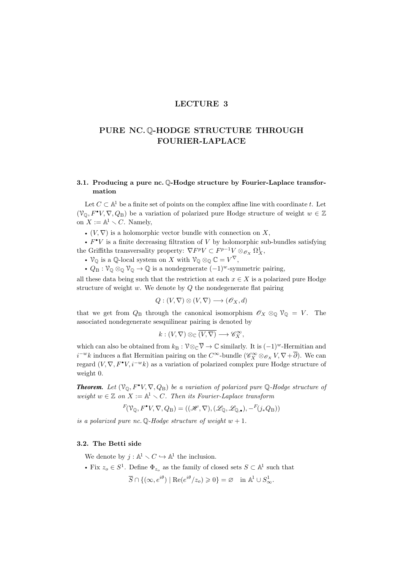# LECTURE 3

# <span id="page-13-0"></span>PURE NC. Q-HODGE STRUCTURE THROUGH FOURIER-LAPLACE

# <span id="page-13-1"></span>3.1. Producing a pure nc. Q-Hodge structure by Fourier-Laplace transformation

Let  $C \subset \mathbb{A}^1$  be a finite set of points on the complex affine line with coordinate t. Let  $(\mathcal{V}_{\mathbb{Q}}, F^{\bullet}V, \nabla, Q_{\mathbb{B}})$  be a variation of polarized pure Hodge structure of weight  $w \in \mathbb{Z}$ on  $X := \mathbb{A}^1 \setminus C$ . Namely,

•  $(V, \nabla)$  is a holomorphic vector bundle with connection on X,

•  $F^{\bullet}V$  is a finite decreasing filtration of V by holomorphic sub-bundles satisfying the Griffiths transversality property:  $\nabla F^p V \subset F^{p-1} V \otimes_{\mathcal{O}_X} \Omega^1_X$ ,

•  $\mathcal{V}_{\mathbb{Q}}$  is a  $\mathbb{Q}$ -local system on X with  $\mathcal{V}_{\mathbb{Q}} \otimes_{\mathbb{Q}} \mathbb{C} = V^{\nabla}$ ,

•  $Q_B: \mathcal{V}_\mathbb{Q} \otimes_\mathbb{Q} \mathcal{V}_\mathbb{Q} \to \mathbb{Q}$  is a nondegenerate  $(-1)^w$ -symmetric pairing,

all these data being such that the restriction at each  $x \in X$  is a polarized pure Hodge structure of weight  $w$ . We denote by  $Q$  the nondegenerate flat pairing

$$
Q: (V, \nabla) \otimes (V, \nabla) \longrightarrow (\mathscr{O}_X, d)
$$

that we get from  $Q_B$  through the canonical isomorphism  $\mathscr{O}_X \otimes_{\mathbb{Q}} \mathscr{V}_{\mathbb{Q}} = V$ . The associated nondegenerate sesquilinear pairing is denoted by

$$
k: (V, \nabla) \otimes_{\mathbb{C}} \overline{(V, \nabla)} \longrightarrow \mathscr{C}_X^{\infty},
$$

which can also be obtained from  $k_B : \mathcal{V} \otimes_{\mathbb{C}} \overline{\mathcal{V}} \to \mathbb{C}$  similarly. It is  $(-1)^w$ -Hermitian and  $i^{-w}k$  induces a flat Hermitian pairing on the  $C^{\infty}$ -bundle  $(\mathscr{C}^{\infty}_X \otimes_{\mathscr{O}_X} V, \nabla + \overline{\partial})$ . We can regard  $(V, \nabla, F^{\bullet}V, i^{-w}k)$  as a variation of polarized complex pure Hodge structure of weight 0.

**Theorem.** Let  $(\mathcal{V}_{\mathbb{Q}}, F^{\bullet}V, \nabla, Q_{\mathbb{B}})$  be a variation of polarized pure  $\mathbb{Q}$ -Hodge structure of weight  $w \in \mathbb{Z}$  on  $X := \mathbb{A}^1 \setminus C$ . Then its Fourier-Laplace transform

$$
F(\mathcal{V}_{\mathbb{Q}}, F^{\bullet}V, \nabla, Q_{\mathbb{B}}) = ((\mathscr{H}, \nabla), (\mathscr{L}_{\mathbb{Q}}, \mathscr{L}_{\mathbb{Q}, \bullet}), -^F(j_*Q_{\mathbb{B}}))
$$

is a polarized pure nc. Q-Hodge structure of weight  $w + 1$ .

#### <span id="page-13-2"></span>3.2. The Betti side

We denote by  $j : \mathbb{A}^1 \setminus C \hookrightarrow \mathbb{A}^1$  the inclusion.

• Fix  $z_o \in S^1$ . Define  $\Phi_{z_o}$  as the family of closed sets  $S \subset \mathbb{A}^1$  such that

 $\overline{S} \cap \{(\infty, e^{i\theta}) \mid \text{Re}(e^{i\theta}/z_o) \geq 0\} = \varnothing \text{ in } \mathbb{A}^1 \cup S^1_{\infty}.$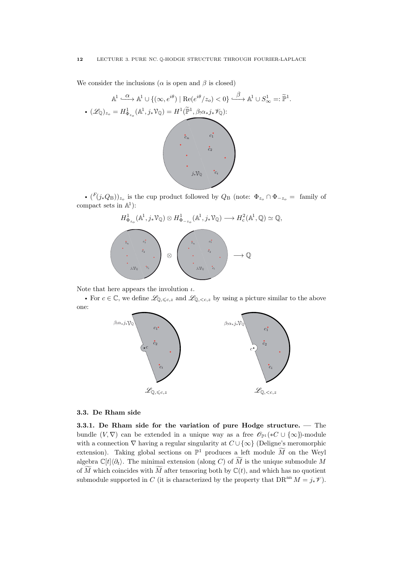We consider the inclusions ( $\alpha$  is open and  $\beta$  is closed)

$$
\mathbb{A}^{1} \xrightarrow{\alpha} \mathbb{A}^{1} \cup \{ (\infty, e^{i\theta}) \mid \text{Re}(e^{i\theta}/z_{o}) < 0 \} \xrightarrow{\beta} \mathbb{A}^{1} \cup S_{\infty}^{1} =: \widetilde{\mathbb{P}}^{1}.
$$

$$
\bullet (\mathscr{L}_{\mathbb{Q}})_{z_{o}} = H_{\Phi_{z_{o}}}^{1}(\mathbb{A}^{1}, j_{*}\mathbb{V}_{\mathbb{Q}}) = H^{1}(\widetilde{\mathbb{P}}^{1}, \beta_{!}\alpha_{*}j_{*}\mathbb{V}_{\mathbb{Q}}):
$$

$$
\begin{array}{c}\n\ddots \\
\ddots \\
\ddots \\
\ddots \\
\ddots\n\end{array}
$$

•  $(F(j_*Q_B))_{z_o}$  is the cup product followed by  $Q_B$  (note:  $\Phi_{z_o} \cap \Phi_{-z_o} =$  family of compact sets in  $\mathbb{A}^1$ :





Note that here appears the involution  $\iota$ .

• For  $c \in \mathbb{C}$ , we define  $\mathscr{L}_{\mathbb{Q},\leq c,z}$  and  $\mathscr{L}_{\mathbb{Q},\leq c,z}$  by using a picture similar to the above one:



## <span id="page-14-0"></span>3.3. De Rham side

<span id="page-14-1"></span>3.3.1. De Rham side for the variation of pure Hodge structure. — The bundle  $(V, \nabla)$  can be extended in a unique way as a free  $\mathscr{O}_{\mathbb{P}^1}(*C \cup {\infty})$ -module with a connection  $\nabla$  having a regular singularity at  $C \cup \{\infty\}$  (Deligne's meromorphic extension). Taking global sections on  $\mathbb{P}^1$  produces a left module  $\widetilde{M}$  on the Weyl algebra  $\mathbb{C}[t]\langle\partial_t\rangle$ . The minimal extension (along C) of M is the unique submodule M of  $\widetilde{M}$  which coincides with  $\widetilde{M}$  after tensoring both by  $\mathbb{C}(t)$ , and which has no quotient submodule supported in C (it is characterized by the property that  $DR^{an} M = j_* \mathcal{V}$ ).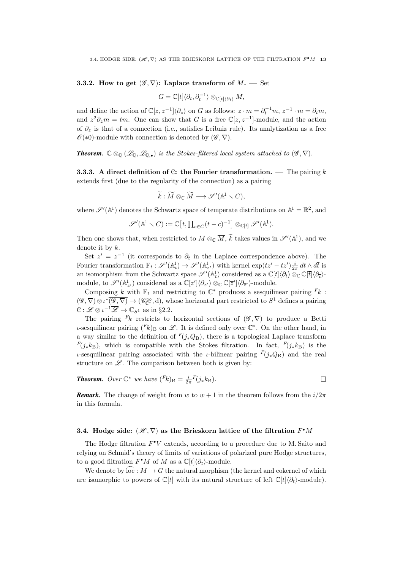#### <span id="page-15-0"></span>**3.3.2.** How to get  $(\mathscr{G}, \nabla)$ : Laplace transform of  $M$ . — Set

$$
G=\mathbb{C}[t]\langle \partial_t,\partial_t^{-1}\rangle\otimes_{\mathbb{C}[t]\langle \partial_t\rangle}M,
$$

and define the action of  $\mathbb{C}[z, z^{-1}]\langle \partial_z \rangle$  on G as follows:  $z \cdot m = \partial_t^{-1}m$ ,  $z^{-1} \cdot m = \partial_t m$ , and  $z^2 \partial_z m = tm$ . One can show that G is a free  $\mathbb{C}[z, z^{-1}]$ -module, and the action of  $\partial_z$  is that of a connection (i.e., satisfies Leibniz rule). Its analytization as a free  $\mathscr{O}(*0)$ -module with connection is denoted by  $(\mathscr{G}, \nabla)$ .

**Theorem.**  $\mathbb{C} \otimes_{\mathbb{Q}} (\mathscr{L}_{\mathbb{Q}}, \mathscr{L}_{\mathbb{Q},\bullet})$  is the Stokes-filtered local system attached to  $(\mathscr{G}, \nabla)$ .

<span id="page-15-1"></span>**3.3.3.** A direct definition of C: the Fourier transformation. — The pairing k extends first (due to the regularity of the connection) as a pairing

$$
\widetilde{k}: \widetilde{M} \otimes_{\mathbb{C}} \overline{\widetilde{M}} \longrightarrow \mathscr{S}'(\mathbb{A}^1 \setminus C),
$$

where  $\mathscr{S}'(\mathbb{A}^1)$  denotes the Schwartz space of temperate distributions on  $\mathbb{A}^1 = \mathbb{R}^2$ , and

$$
\mathscr{S}'(\mathbb{A}^1 \setminus C) := \mathbb{C}[t, \prod_{c \in C} (t-c)^{-1}] \otimes_{\mathbb{C}[t]} \mathscr{S}'(\mathbb{A}^1).
$$

Then one shows that, when restricted to  $M \otimes_{\mathbb{C}} \overline{M}$ ,  $\widetilde{k}$  takes values in  $\mathscr{S}'(\mathbb{A}^1)$ , and we denote it by  $k$ .

Set  $z' = z^{-1}$  (it corresponds to  $\partial_t$  in the Laplace correspondence above). The Fourier transformation  $F_t: \mathscr{S}'(\mathbb{A}^1_t) \to \mathscr{S}'(\mathbb{A}^1_{z'})$  with kernel  $\exp(\overline{tz'}-tz')\frac{i}{2\pi} dt \wedge d\overline{t}$  is an isomorphism from the Schwartz space  $\mathscr{S}'(\mathbb{A}^1_t)$  considered as a  $\mathbb{C}[t]\langle \partial_t \rangle \otimes_{\mathbb{C}} \mathbb{C}[t]\langle \partial_t \rangle$ module, to  $\mathscr{S}'(\mathbb{A}^1_{z'})$  considered as a  $\mathbb{C}[z']\langle \partial_{z'}\rangle \otimes_{\mathbb{C}} \mathbb{C}[z']\langle \partial_{\overline{z'}}\rangle$ -module.

Composing  $k$  with  $F_t$  and restricting to  $\mathbb{C}^*$  produces a sesquilinear pairing  $F_k$ :  $(\mathscr{G}, \nabla) \otimes \iota^*(\overline{\mathscr{G}, \nabla}) \to (\mathscr{C}_{\mathbb{C}^*}^{\infty}, d)$ , whose horizontal part restricted to  $S^1$  defines a pairing  $\mathcal{C}: \mathscr{L} \otimes \iota^{-1} \overline{\mathscr{L}} \to \mathbb{C}_{S^1}$  as in §[2.2.](#page-9-2)

The pairing <sup>F</sup>k restricts to horizontal sections of  $(\mathscr{G}, \nabla)$  to produce a Betti *ι*-sesquilinear pairing  $(F_k)_B$  on  $\mathscr L$ . It is defined only over  $\mathbb C^*$ . On the other hand, in a way similar to the definition of  $F(j_*Q_B)$ , there is a topological Laplace transform  $F(j_*k_B)$ , which is compatible with the Stokes filtration. In fact,  $F(j_*k_B)$  is the ι-sesquilinear pairing associated with the *ι*-bilinear pairing  $F(i_{*}Q_{\text{B}})$  and the real structure on  $\mathscr{L}$ . The comparison between both is given by:

**Theorem.** Over 
$$
\mathbb{C}^*
$$
 we have  $(F_k)_{\text{B}} = \frac{i}{2\pi} F(j_* k_{\text{B}}).$ 

*Remark.* The change of weight from w to  $w + 1$  in the theorem follows from the  $i/2\pi$ in this formula.

# <span id="page-15-2"></span>3.4. Hodge side:  $(\mathscr{H},\nabla)$  as the Brieskorn lattice of the filtration  $F^{\bullet}M$

The Hodge filtration  $F^{\bullet}V$  extends, according to a procedure due to M. Saito and relying on Schmid's theory of limits of variations of polarized pure Hodge structures, to a good filtration  $F^{\bullet}M$  of  $M$  as a  $\mathbb{C}[t]\langle \partial_t \rangle$ -module.

We denote by  $\overline{\text{loc}} : M \to G$  the natural morphism (the kernel and cokernel of which are isomorphic to powers of  $\mathbb{C}[t]$  with its natural structure of left  $\mathbb{C}[t](\partial_t)$ -module).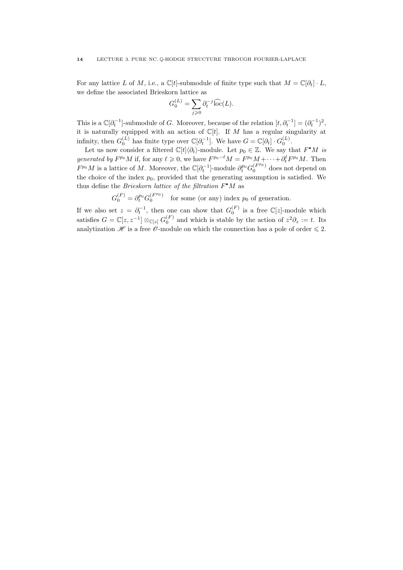For any lattice L of M, i.e., a  $\mathbb{C}[t]$ -submodule of finite type such that  $M = \mathbb{C}[\partial_t] \cdot L$ , we define the associated Brieskorn lattice as

$$
G_0^{(L)} = \sum_{j \geq 0} \partial_t^{-j} \widehat{\text{loc}}(L).
$$

This is a  $\mathbb{C}[\partial_t^{-1}]$ -submodule of G. Moreover, because of the relation  $[t, \partial_t^{-1}] = (\partial_t^{-1})^2$ , it is naturally equipped with an action of  $\mathbb{C}[t]$ . If M has a regular singularity at infinity, then  $G_0^{(L)}$  has finite type over  $\mathbb{C}[\partial_t^{-1}]$ . We have  $G = \mathbb{C}[\partial_t] \cdot G_0^{(L)}$ .

Let us now consider a filtered  $\mathbb{C}[t]\langle\partial_t\rangle$ -module. Let  $p_0 \in \mathbb{Z}$ . We say that  $F^{\bullet}M$  is generated by  $F^{p_0}M$  if, for any  $\ell \geqslant 0$ , we have  $F^{p_0-\ell}M = F^{p_0}M + \cdots + \partial_t^{\ell}F^{p_0}M$ . Then  $F^{p_0}M$  is a lattice of M. Moreover, the  $\mathbb{C}[\partial_t^{-1}]$ -module  $\partial_t^{p_0}G_0^{(F^{p_0})}$  does not depend on the choice of the index  $p_0$ , provided that the generating assumption is satisfied. We thus define the *Brieskorn lattice of the filtration*  $F^{\bullet}M$  as

 $G_0^{(F)} = \partial_t^{p_0} G_0^{(F^{p_0})}$  for some (or any) index  $p_0$  of generation.

If we also set  $z = \partial_t^{-1}$ , then one can show that  $G_0^{(F)}$  is a free  $\mathbb{C}[z]$ -module which satisfies  $G = \mathbb{C}[z, z^{-1}] \otimes_{\mathbb{C}[z]} G_0^{(F)}$  and which is stable by the action of  $z^2 \partial_z := t$ . Its analytization  $\mathscr H$  is a free  $\mathscr O$ -module on which the connection has a pole of order  $\leq 2$ .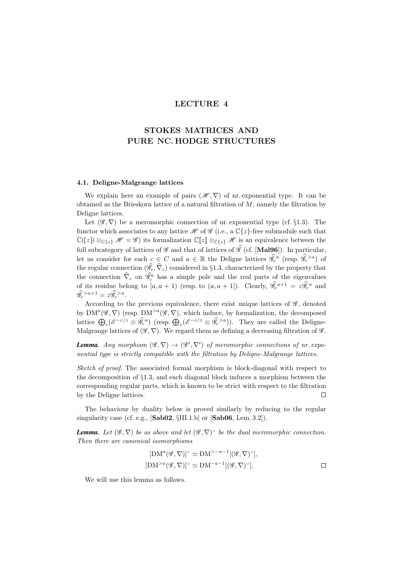# LECTURE 4

# <span id="page-17-0"></span>STOKES MATRICES AND PURE NC. HODGE STRUCTURES

# <span id="page-17-1"></span>4.1. Deligne-Malgrange lattices

We explain here an example of pairs  $(\mathscr{H}, \nabla)$  of nr. exponential type. It can be obtained as the Brieskorn lattice of a natural filtration of  $M$ , namely the filtration by Deligne lattices.

Let  $(\mathscr{G}, \nabla)$  be a meromorphic connection of nr. exponential type (cf. §[1.3\)](#page-5-1). The functor which associates to any lattice  $\mathscr H$  of  $\mathscr G$  (i.e., a  $\mathbb C\{z\}$ -free submodule such that  $\mathbb{C}\{\{z\}\}\otimes_{\mathbb{C}\{z\}}\mathscr{H}=\mathscr{G}$  its formalization  $\mathbb{C}\llbracket z\rrbracket\otimes_{\mathbb{C}\{z\}}\mathscr{H}$  is an equivalence between the full subcategory of lattices of  $\mathscr G$  and that of lattices of  $\widehat{\mathscr G}$  (cf. [[Mal96](#page-20-6)]). In particular, let us consider for each  $c \in C$  and  $a \in \mathbb{R}$  the Deligne lattices  $\widehat{\mathscr{G}}_c^{\ a}$  (resp.  $\widehat{\mathscr{G}}_c^{>a}$ ) of the regular connection  $(\mathscr{G}_c, \nabla_c)$  considered in §[1.3,](#page-5-1) characterized by the property that the connection  $\hat{\nabla}_c$  on  $\hat{\mathscr{G}}_c^a$  has a simple pole and the real parts of the eigenvalues of its residue belong to  $[a, a + 1]$  (resp. to  $(a, a + 1]$ ). Clearly,  $\hat{\mathscr{G}}_c^{a+1} = z \hat{\mathscr{G}}_c^a$  and  $\mathscr{G}_c^{>a+1} = z \mathscr{G}_c^{>a}.$ 

According to the previous equivalence, there exist unique lattices of  $\mathscr{G}$ , denoted by  $\text{DM}^a(\mathscr{G}, \nabla)$  (resp.  $\text{DM}^{>a}(\mathscr{G}, \nabla)$ , which induce, by formalization, the decomposed lattice  $\bigoplus_c(\mathscr{E}^{-c/z}\otimes \mathscr{G}_c^a)$  (resp.  $\bigoplus_c(\mathscr{E}^{-c/z}\otimes \mathscr{G}_c^{>a})$ ). They are called the Deligne-Malgrange lattices of  $(\mathscr{G}, \nabla)$ . We regard them as defining a decreasing filtration of  $\mathscr{G}$ .

**Lemma.** Any morphism  $(\mathscr{G}, \nabla) \to (\mathscr{G}', \nabla')$  of meromorphic connections of nr. exponential type is strictly compatible with the filtration by Deligne-Malgrange lattices.

Sketch of proof. The associated formal morphism is block-diagonal with respect to the decomposition of §[1.3,](#page-5-1) and each diagonal block induces a morphism between the corresponding regular parts, which is known to be strict with respect to the filtration by the Deligne lattices.  $\Box$ 

The behaviour by duality below is proved similarly by reducing to the regular singularity case (cf. e.g.,  $[\text{Sab02}, \S III.1.b]$  $[\text{Sab02}, \S III.1.b]$  $[\text{Sab02}, \S III.1.b]$  or  $[\text{Sab06}, \text{Lem. } 3.2]$  $[\text{Sab06}, \text{Lem. } 3.2]$  $[\text{Sab06}, \text{Lem. } 3.2]$ ).

**Lemma.** Let  $(\mathscr{G}, \nabla)$  be as above and let  $(\mathscr{G}, \nabla)^{\vee}$  be the dual meromorphic connection. Then there are canonical isomorphisms

$$
[DMa(\mathscr{G}, \nabla)]\vee \simeq DM>-a-1[(\mathscr{G}, \nabla)\vee],
$$
  

$$
[DM>a(\mathscr{G}, \nabla)]\vee \simeq DM-a-1[(\mathscr{G}, \nabla)\vee].
$$

We will use this lemma as follows.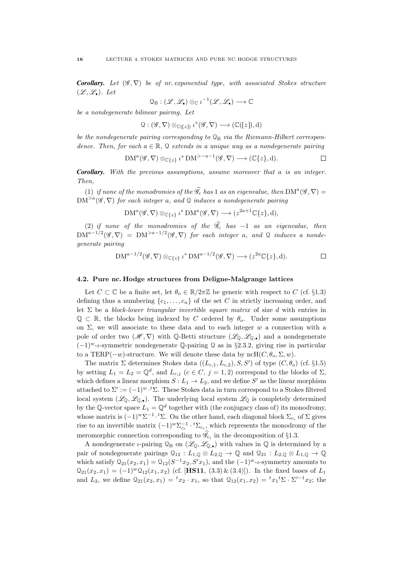**Corollary.** Let  $(\mathscr{G}, \nabla)$  be of nr. exponential type, with associated Stokes structure  $(\mathscr{L}, \mathscr{L}_{\bullet})$ . Let

$$
\mathfrak{Q}_{\mathrm{B}}: (\mathscr{L}, \mathscr{L}_\bullet) \otimes_{\mathbb{C}} \iota^{-1}(\mathscr{L}, \mathscr{L}_\bullet) \longrightarrow \mathbb{C}
$$

be a nondegenerate bilinear pairing. Let

$$
\mathfrak{Q} : (\mathscr{G}, \nabla) \otimes_{\mathbb{C}(\{z\})} \iota^*(\mathscr{G}, \nabla) \longrightarrow (\mathbb{C}(\{z\}), d)
$$

be the nondegenerate pairing corresponding to  $\mathcal{Q}_B$  via the Riemann-Hilbert correspondence. Then, for each  $a \in \mathbb{R}$ , Q extends in a unique way as a nondegenerate pairing

$$
DM^a(\mathscr{G}, \nabla) \otimes_{\mathbb{C}\{z\}} \iota^* DM^{>-a-1}(\mathscr{G}, \nabla) \longrightarrow (\mathbb{C}\{z\}, d).
$$

*Corollary.* With the previous assumptions, assume moreover that a is an integer. Then,

(1) if none of the monodromies of the  $\widehat{\mathscr{G}}_c$  has 1 as an eigenvalue, then  $\text{DM}^a(\mathscr{G}, \nabla) =$  $DM^{>a}(\mathscr{G}, \nabla)$  for each integer a, and Q induces a nondegenerate pairing

$$
DM^a(\mathscr{G}, \nabla) \otimes_{\mathbb{C}\{z\}} \iota^* DM^a(\mathscr{G}, \nabla) \longrightarrow (z^{2a+1}\mathbb{C}\{z\}, d),
$$

(2) if none of the monodromies of the  $\mathcal{G}_c$  has  $-1$  as an eigenvalue, then  ${\rm DM}^{a-1/2}(\mathscr{G},\nabla) \;=\; {\rm DM}^{>a-1/2}(\mathscr{G},\nabla)$  for each integer a, and Q induces a nondegenerate pairing

$$
DM^{a-1/2}(\mathscr{G}, \nabla) \otimes_{\mathbb{C}\{z\}} \iota^* DM^{a-1/2}(\mathscr{G}, \nabla) \longrightarrow (z^{2a}\mathbb{C}\{z\}, d).
$$

#### <span id="page-18-0"></span>4.2. Pure nc. Hodge structures from Deligne-Malgrange lattices

Let  $C \subset \mathbb{C}$  be a finite set, let  $\theta_o \in \mathbb{R}/2\pi\mathbb{Z}$  be generic with respect to C (cf. §[1.3\)](#page-5-1) defining thus a numbering  $\{c_1, \ldots, c_n\}$  of the set C in strictly increasing order, and let  $\Sigma$  be a block-lower triangular invertible square matrix of size d with entries in  $\mathbb{Q} \subset \mathbb{R}$ , the blocks being indexed by C ordered by  $\theta_{\alpha}$ . Under some assumptions on  $\Sigma$ , we will associate to these data and to each integer w a connection with a pole of order two  $(\mathscr{H}, \nabla)$  with Q-Betti structure  $(\mathscr{L}_{\mathbb{Q}}, \mathscr{L}_{\mathbb{Q},\bullet})$  and a nondegenerate  $(-1)^{w}$ -t-symmetric nondegenerate  $\mathbb{Q}$ -pairing  $\mathfrak{Q}$  as in §[2.3.2,](#page-11-2) giving rise in particular to a TERP( $-w$ )-structure. We will denote these data by  $nCH(C, \theta_{o}, \Sigma, w)$ .

The matrix  $\Sigma$  determines Stokes data  $((L_{c,1}, L_{c,2}), S, S')$  of type  $(C, \theta_o)$  (cf. §[1.5\)](#page-7-0) by setting  $L_1 = L_2 = \mathbb{Q}^d$ , and  $L_{c,j}$   $(c \in C, j = 1, 2)$  correspond to the blocks of  $\Sigma$ , which defines a linear morphism  $S: L_1 \to L_2$ , and we define S' as the linear morphism attached to  $\Sigma' := (-1)^{w} \cdot {}^t \Sigma$ . These Stokes data in turn correspond to a Stokes filtered local system  $(\mathscr{L}_0, \mathscr{L}_{\mathbb{Q},\bullet})$ . The underlying local system  $\mathscr{L}_0$  is completely determined by the Q-vector space  $L_1 = \mathbb{Q}^d$  together with (the conjugacy class of) its monodromy, whose matrix is  $(-1)^w \Sigma^{-1} \cdot t \Sigma$ . On the other hand, each diagonal block  $\Sigma_{c_i}$  of  $\Sigma$  gives rise to an invertible matrix  $(-1)^w \sum_{c_i}^{-1} \cdot {}^t\Sigma_{c_i}$ , which represents the monodromy of the meromorphic connection corresponding to  $\mathcal{G}_{c_i}$  in the decomposition of §[1.3.](#page-5-1)

A nondegenerate *ι*-pairing  $\mathcal{Q}_B$  on  $(\mathcal{L}_\mathbb{Q}, \mathcal{L}_{\mathbb{Q},\bullet})$  with values in  $\mathbb Q$  is determined by a pair of nondegenerate pairings  $Q_{12} : L_{1,0} \otimes L_{2,0} \to \mathbb{Q}$  and  $Q_{21} : L_{2,0} \otimes L_{1,0} \to \mathbb{Q}$ which satisfy  $Q_{21}(x_2, x_1) = Q_{12}(S^{-1}x_2, S'x_1)$ , and the  $(-1)^{w}$ -*t*-symmetry amounts to  $Q_{21}(x_2, x_1) = (-1)^{w} Q_{12}(x_1, x_2)$  (cf. [**[HS11](#page-20-4)**, (3.3) & (3.4)]). In the fixed bases of  $L_1$ and  $L_2$ , we define  $\mathcal{Q}_{21}(x_2, x_1) = {}^t x_2 \cdot x_1$ , so that  $\mathcal{Q}_{12}(x_1, x_2) = {}^t x_1 {}^t \Sigma \cdot \Sigma'^{-1} x_2$ ; the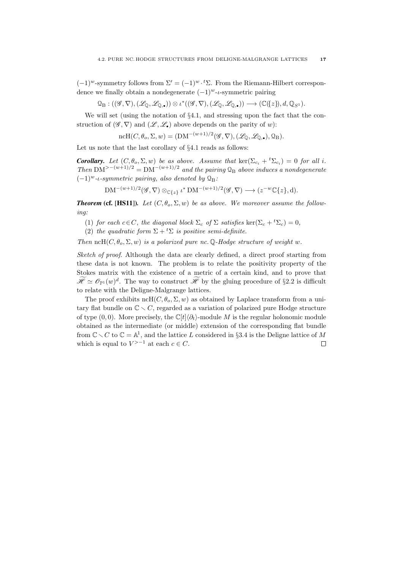$(-1)^w$ -symmetry follows from  $\Sigma' = (-1)^w \cdot {}^t \Sigma$ . From the Riemann-Hilbert correspondence we finally obtain a nondegenerate  $(-1)^{w}$ -*t*-symmetric pairing

 $\mathcal{Q}_{\mathrm{B}}: ((\mathscr{G}, \nabla),(\mathscr{L}_{\mathbb{Q}},\mathscr{L}_{\mathbb{Q},\bullet}))\otimes \iota^*((\mathscr{G}, \nabla),(\mathscr{L}_{\mathbb{Q}},\mathscr{L}_{\mathbb{Q},\bullet}))\longrightarrow (\mathbb{C}(\{z\}),d,\mathbb{Q}_{S^1}).$ 

We will set (using the notation of  $\S 4.1$ , and stressing upon the fact that the construction of  $(\mathscr{G}, \nabla)$  and  $(\mathscr{L}, \mathscr{L})$  above depends on the parity of w):

ncH(
$$
C, \theta_o, \Sigma, w
$$
) = (DM<sup>-(w+1)/2</sup>( $\mathscr{G}, \nabla$ ), ( $\mathscr{L}_{\mathbb{Q}}, \mathscr{L}_{\mathbb{Q},\bullet}$ ),  $\mathbb{Q}_B$ ).

Let us note that the last corollary of §[4.1](#page-17-1) reads as follows:

**Corollary.** Let  $(C, \theta_o, \Sigma, w)$  be as above. Assume that  $\ker(\Sigma_{c_i} + {}^t\Sigma_{c_i}) = 0$  for all i. Then DM<sup>>-(w+1)/2</sup> = DM<sup>-(w+1)/2</sup> and the pairing  $\mathcal{Q}_B$  above induces a nondegenerate  $(-1)^{w}$ -*ι-symmetric pairing, also denoted by*  $\mathcal{Q}_{B}$ :

 $\text{DM}^{-(w+1)/2}(\mathscr{G}, \nabla) \otimes_{\mathbb{C}\{z\}} \iota^* \text{DM}^{-(w+1)/2}(\mathscr{G}, \nabla) \longrightarrow (z^{-w}\mathbb{C}\{z\}, \mathrm{d}).$ 

**Theorem (cf. [[HS11](#page-20-4)]).** Let  $(C, \theta_o, \Sigma, w)$  be as above. We moreover assume the following:

- (1) for each  $c \in C$ , the diagonal block  $\Sigma_c$  of  $\Sigma$  satisfies ker( $\Sigma_c + {}^t\Sigma_c = 0$ ,
- (2) the quadratic form  $\Sigma + {}^{t}\Sigma$  is positive semi-definite.

Then ncH( $C, \theta_o, \Sigma, w$ ) is a polarized pure nc. Q-Hodge structure of weight w.

Sketch of proof. Although the data are clearly defined, a direct proof starting from these data is not known. The problem is to relate the positivity property of the Stokes matrix with the existence of a metric of a certain kind, and to prove that  $\mathscr{H} \simeq \mathscr{O}_{\mathbb{P}^1}(w)^d$ . The way to construct  $\mathscr{H}$  by the gluing procedure of §[2.2](#page-9-2) is difficult to relate with the Deligne-Malgrange lattices.

The proof exhibits ncH( $C, \theta_o, \Sigma, w$ ) as obtained by Laplace transform from a unitary flat bundle on  $\mathbb{C} \setminus C$ , regarded as a variation of polarized pure Hodge structure of type  $(0, 0)$ . More precisely, the  $\mathbb{C}[t|\partial_t\rangle$ -module M is the regular holonomic module obtained as the intermediate (or middle) extension of the corresponding flat bundle from  $\mathbb{C} \setminus C$  to  $\mathbb{C} = \mathbb{A}^1$ , and the lattice L considered in §[3.4](#page-15-2) is the Deligne lattice of M which is equal to  $V^{>-1}$  at each  $c \in C$ .  $\Box$